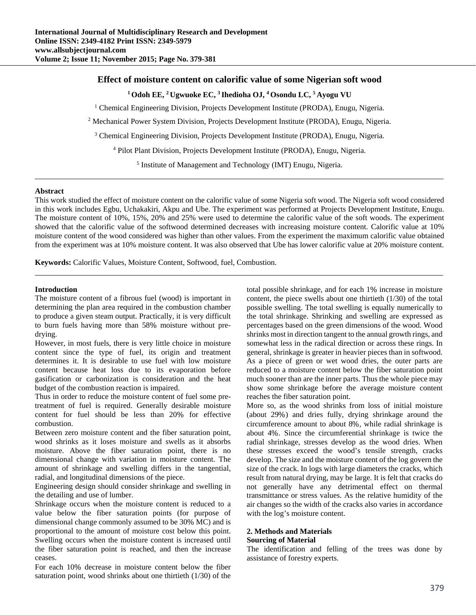## **Effect of moisture content on calorific value of some Nigerian soft wood**

**1 Odoh EE, 2 Ugwuoke EC, 3 Ihedioha OJ, 4 Osondu LC, 5 Ayogu VU** 

<sup>1</sup> Chemical Engineering Division, Projects Development Institute (PRODA), Enugu, Nigeria.

<sup>2</sup> Mechanical Power System Division, Projects Development Institute (PRODA), Enugu, Nigeria.

<sup>3</sup> Chemical Engineering Division, Projects Development Institute (PRODA), Enugu, Nigeria.

<sup>4</sup> Pilot Plant Division, Projects Development Institute (PRODA), Enugu, Nigeria.

<sup>5</sup> Institute of Management and Technology (IMT) Enugu, Nigeria.

### **Abstract**

This work studied the effect of moisture content on the calorific value of some Nigeria soft wood. The Nigeria soft wood considered in this work includes Egbu, Uchakakiri, Akpu and Ube. The experiment was performed at Projects Development Institute, Enugu. The moisture content of 10%, 15%, 20% and 25% were used to determine the calorific value of the soft woods. The experiment showed that the calorific value of the softwood determined decreases with increasing moisture content. Calorific value at 10% moisture content of the wood considered was higher than other values. From the experiment the maximum calorific value obtained from the experiment was at 10% moisture content. It was also observed that Ube has lower calorific value at 20% moisture content.

**Keywords:** Calorific Values, Moisture Content, Softwood, fuel, Combustion.

### **Introduction**

The moisture content of a fibrous fuel (wood) is important in determining the plan area required in the combustion chamber to produce a given steam output. Practically, it is very difficult to burn fuels having more than 58% moisture without predrying.

However, in most fuels, there is very little choice in moisture content since the type of fuel, its origin and treatment determines it. It is desirable to use fuel with low moisture content because heat loss due to its evaporation before gasification or carbonization is consideration and the heat budget of the combustion reaction is impaired.

Thus in order to reduce the moisture content of fuel some pretreatment of fuel is required. Generally desirable moisture content for fuel should be less than 20% for effective combustion.

Between zero moisture content and the fiber saturation point, wood shrinks as it loses moisture and swells as it absorbs moisture. Above the fiber saturation point, there is no dimensional change with variation in moisture content. The amount of shrinkage and swelling differs in the tangential, radial, and longitudinal dimensions of the piece.

Engineering design should consider shrinkage and swelling in the detailing and use of lumber.

Shrinkage occurs when the moisture content is reduced to a value below the fiber saturation points (for purpose of dimensional change commonly assumed to be 30% MC) and is proportional to the amount of moisture cost below this point. Swelling occurs when the moisture content is increased until the fiber saturation point is reached, and then the increase ceases.

For each 10% decrease in moisture content below the fiber saturation point, wood shrinks about one thirtieth (1/30) of the

total possible shrinkage, and for each 1% increase in moisture content, the piece swells about one thirtieth (1/30) of the total possible swelling. The total swelling is equally numerically to the total shrinkage. Shrinking and swelling are expressed as percentages based on the green dimensions of the wood. Wood shrinks most in direction tangent to the annual growth rings, and somewhat less in the radical direction or across these rings. In general, shrinkage is greater in heavier pieces than in softwood. As a piece of green or wet wood dries, the outer parts are reduced to a moisture content below the fiber saturation point much sooner than are the inner parts. Thus the whole piece may show some shrinkage before the average moisture content reaches the fiber saturation point.

More so, as the wood shrinks from loss of initial moisture (about 29%) and dries fully, drying shrinkage around the circumference amount to about 8%, while radial shrinkage is about 4%. Since the circumferential shrinkage is twice the radial shrinkage, stresses develop as the wood dries. When these stresses exceed the wood's tensile strength, cracks develop. The size and the moisture content of the log govern the size of the crack. In logs with large diameters the cracks, which result from natural drying, may be large. It is felt that cracks do not generally have any detrimental effect on thermal transmittance or stress values. As the relative humidity of the air changes so the width of the cracks also varies in accordance with the log's moisture content.

### **2. Methods and Materials Sourcing of Material**

The identification and felling of the trees was done by assistance of forestry experts.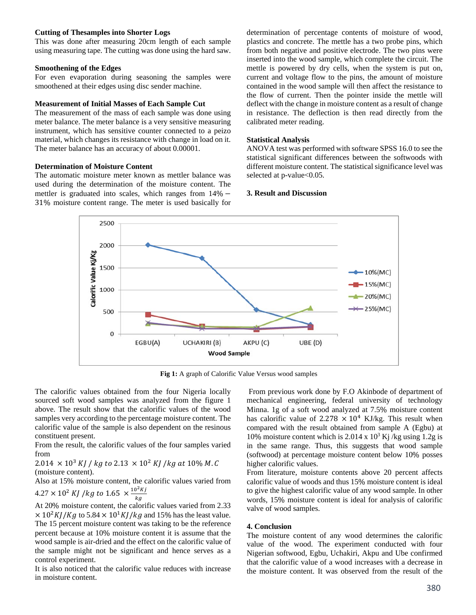#### **Cutting of Thesamples into Shorter Logs**

This was done after measuring 20cm length of each sample using measuring tape. The cutting was done using the hard saw.

#### **Smoothening of the Edges**

For even evaporation during seasoning the samples were smoothened at their edges using disc sender machine.

#### **Measurement of Initial Masses of Each Sample Cut**

The measurement of the mass of each sample was done using meter balance. The meter balance is a very sensitive measuring instrument, which has sensitive counter connected to a peizo material, which changes its resistance with change in load on it. The meter balance has an accuracy of about 0.00001.

### **Determination of Moisture Content**

The automatic moisture meter known as mettler balance was used during the determination of the moisture content. The mettler is graduated into scales, which ranges from  $14\%$  -31% moisture content range. The meter is used basically for

determination of percentage contents of moisture of wood, plastics and concrete. The mettle has a two probe pins, which from both negative and positive electrode. The two pins were inserted into the wood sample, which complete the circuit. The mettle is powered by dry cells, when the system is put on, current and voltage flow to the pins, the amount of moisture contained in the wood sample will then affect the resistance to the flow of current. Then the pointer inside the mettle will deflect with the change in moisture content as a result of change in resistance. The deflection is then read directly from the calibrated meter reading.

#### **Statistical Analysis**

ANOVA test was performed with software SPSS 16.0 to see the statistical significant differences between the softwoods with different moisture content. The statistical significance level was selected at p-value<0.05.

### **3. Result and Discussion**



**Fig 1:** A graph of Calorific Value Versus wood samples

The calorific values obtained from the four Nigeria locally sourced soft wood samples was analyzed from the figure 1 above. The result show that the calorific values of the wood samples very according to the percentage moisture content. The calorific value of the sample is also dependent on the resinous constituent present.

From the result, the calorific values of the four samples varied from

# $2.014 \times 10^3$  KJ / kg to  $2.13 \times 10^2$  KJ / kg at  $10\%$  M.C (moisture content).

Also at 15% moisture content, the calorific values varied from  $4.27 \times 10^2$  KI /kg to 1.65  $\times \frac{10^2 Kj}{2}$ 

At 20% moisture content, the calorific values varied from 2.33  
\n
$$
\times
$$
 10<sup>2</sup>K<sub>1</sub>/K<sub>2</sub> to 5.84 × 10<sup>1</sup>K<sub>1</sub>/k<sub>2</sub> and 15% has the least value

 $\times 10^2 KJ/Kg$  to 5.84  $\times 10^4 KJ/kg$  and 15% has the least value. The 15 percent moisture content was taking to be the reference percent because at 10% moisture content it is assume that the wood sample is air-dried and the effect on the calorific value of the sample might not be significant and hence serves as a control experiment.

It is also noticed that the calorific value reduces with increase in moisture content.

 From previous work done by F.O Akinbode of department of mechanical engineering, federal university of technology Minna. 1g of a soft wood analyzed at 7.5% moisture content has calorific value of 2.278  $\times$  10<sup>4</sup> KJ/kg. This result when compared with the result obtained from sample A (Egbu) at 10% moisture content which is 2.014 x  $10^3$  Kj/kg using 1.2g is in the same range. Thus, this suggests that wood sample (softwood) at percentage moisture content below 10% posses higher calorific values.

From literature, moisture contents above 20 percent affects calorific value of woods and thus 15% moisture content is ideal to give the highest calorific value of any wood sample. In other words, 15% moisture content is ideal for analysis of calorific valve of wood samples.

#### **4. Conclusion**

The moisture content of any wood determines the calorific value of the wood. The experiment conducted with four Nigerian softwood, Egbu, Uchakiri, Akpu and Ube confirmed that the calorific value of a wood increases with a decrease in the moisture content. It was observed from the result of the